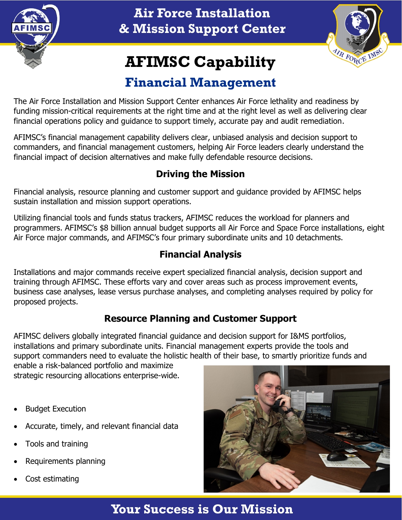

**Air Force Installation & Mission Support Center**



# **AFIMSC Capability**

# **Financial Management**

The Air Force Installation and Mission Support Center enhances Air Force lethality and readiness by funding mission-critical requirements at the right time and at the right level as well as delivering clear financial operations policy and guidance to support timely, accurate pay and audit remediation.

AFIMSC's financial management capability delivers clear, unbiased analysis and decision support to commanders, and financial management customers, helping Air Force leaders clearly understand the financial impact of decision alternatives and make fully defendable resource decisions.

## **Driving the Mission**

Financial analysis, resource planning and customer support and guidance provided by AFIMSC helps sustain installation and mission support operations.

Utilizing financial tools and funds status trackers, AFIMSC reduces the workload for planners and programmers. AFIMSC's \$8 billion annual budget supports all Air Force and Space Force installations, eight Air Force major commands, and AFIMSC's four primary subordinate units and 10 detachments.

### **Financial Analysis**

Installations and major commands receive expert specialized financial analysis, decision support and training through AFIMSC. These efforts vary and cover areas such as process improvement events, business case analyses, lease versus purchase analyses, and completing analyses required by policy for proposed projects.

### **Resource Planning and Customer Support**

AFIMSC delivers globally integrated financial guidance and decision support for I&MS portfolios, installations and primary subordinate units. Financial management experts provide the tools and support commanders need to evaluate the holistic health of their base, to smartly prioritize funds and

enable a risk-balanced portfolio and maximize strategic resourcing allocations enterprise-wide.

- Budget Execution
- Accurate, timely, and relevant financial data
- Tools and training
- Requirements planning
- Cost estimating



# **Your Success is Our Mission**